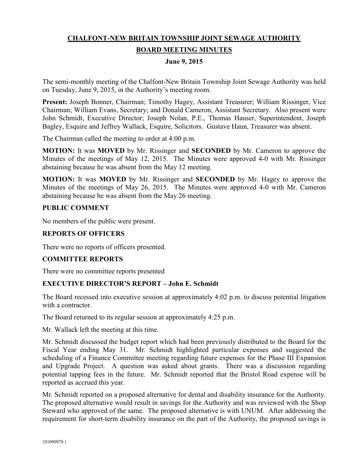# **CHALFONT-NEW BRITAIN TOWNSHIP JOINT SEWAGE AUTHORITY BOARD MEETING MINUTES**

## **June 9, 2015**

The semi-monthly meeting of the Chalfont-New Britain Township Joint Sewage Authority was held on Tuesday, June 9, 2015, in the Authority's meeting room.

**Present:** Joseph Bonner, Chairman; Timothy Hagey, Assistant Treasurer; William Rissinger, Vice Chairman; William Evans, Secretary; and Donald Cameron, Assistant Secretary. Also present were John Schmidt, Executive Director; Joseph Nolan, P.E., Thomas Hauser, Superintendent, Joseph Bagley, Esquire and Jeffrey Wallack, Esquire, Solicitors. Gustave Haun, Treasurer was absent.

The Chairman called the meeting to order at 4:00 p.m.

**MOTION:** It was **MOVED** by Mr. Rissinger and **SECONDED** by Mr. Cameron to approve the Minutes of the meetings of May 12, 2015. The Minutes were approved 4-0 with Mr. Rissinger abstaining because he was absent from the May 12 meeting.

**MOTION:** It was **MOVED** by Mr. Rissinger and **SECONDED** by Mr. Hagey to approve the Minutes of the meetings of May 26, 2015. The Minutes were approved 4-0 with Mr. Cameron abstaining because he was absent from the May 26 meeting.

## **PUBLIC COMMENT**

No members of the public were present.

## **REPORTS OF OFFICERS**

There were no reports of officers presented.

# **COMMITTEE REPORTS**

There were no committee reports presented

# **EXECUTIVE DIRECTOR'S REPORT – John E. Schmidt**

The Board recessed into executive session at approximately 4:02 p.m. to discuss potential litigation with a contractor.

The Board returned to its regular session at approximately 4:25 p.m.

Mr. Wallack left the meeting at this time.

Mr. Schmidt discussed the budget report which had been previously distributed to the Board for the Fiscal Year ending May 31. Mr. Schmidt highlighted particular expenses and suggested the scheduling of a Finance Committee meeting regarding future expenses for the Phase III Expansion and Upgrade Project. A question was asked about grants. There was a discussion regarding potential tapping fees in the future. Mr. Schmidt reported that the Bristol Road expense will be reported as accrued this year.

Mr. Schmidt reported on a proposed alternative for dental and disability insurance for the Authority. The proposed alternative would result in savings for the Authority and was reviewed with the Shop Steward who approved of the same. The proposed alternative is with UNUM. After addressing the requirement for short-term disability insurance on the part of the Authority, the proposed savings is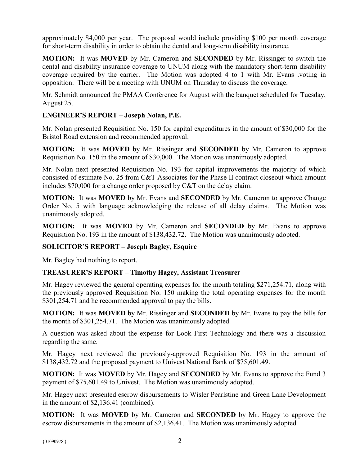approximately \$4,000 per year. The proposal would include providing \$100 per month coverage for short-term disability in order to obtain the dental and long-term disability insurance.

**MOTION:** It was **MOVED** by Mr. Cameron and **SECONDED** by Mr. Rissinger to switch the dental and disability insurance coverage to UNUM along with the mandatory short-term disability coverage required by the carrier. The Motion was adopted 4 to 1 with Mr. Evans .voting in opposition. There will be a meeting with UNUM on Thursday to discuss the coverage.

Mr. Schmidt announced the PMAA Conference for August with the banquet scheduled for Tuesday, August 25.

# **ENGINEER'S REPORT – Joseph Nolan, P.E.**

Mr. Nolan presented Requisition No. 150 for capital expenditures in the amount of \$30,000 for the Bristol Road extension and recommended approval.

**MOTION:** It was **MOVED** by Mr. Rissinger and **SECONDED** by Mr. Cameron to approve Requisition No. 150 in the amount of \$30,000. The Motion was unanimously adopted.

Mr. Nolan next presented Requisition No. 193 for capital improvements the majority of which consisted of estimate No. 25 from C&T Associates for the Phase II contract closeout which amount includes \$70,000 for a change order proposed by C&T on the delay claim.

**MOTION:** It was **MOVED** by Mr. Evans and **SECONDED** by Mr. Cameron to approve Change Order No. 5 with language acknowledging the release of all delay claims. The Motion was unanimously adopted.

**MOTION:** It was **MOVED** by Mr. Cameron and **SECONDED** by Mr. Evans to approve Requisition No. 193 in the amount of \$138,432.72. The Motion was unanimously adopted.

# **SOLICITOR'S REPORT – Joseph Bagley, Esquire**

Mr. Bagley had nothing to report.

# **TREASURER'S REPORT – Timothy Hagey, Assistant Treasurer**

Mr. Hagey reviewed the general operating expenses for the month totaling \$271,254.71, along with the previously approved Requisition No. 150 making the total operating expenses for the month \$301,254.71 and he recommended approval to pay the bills.

**MOTION:** It was **MOVED** by Mr. Rissinger and **SECONDED** by Mr. Evans to pay the bills for the month of \$301,254.71. The Motion was unanimously adopted.

A question was asked about the expense for Look First Technology and there was a discussion regarding the same.

Mr. Hagey next reviewed the previously-approved Requisition No. 193 in the amount of \$138,432.72 and the proposed payment to Univest National Bank of \$75,601.49.

**MOTION:** It was **MOVED** by Mr. Hagey and **SECONDED** by Mr. Evans to approve the Fund 3 payment of \$75,601.49 to Univest. The Motion was unanimously adopted.

Mr. Hagey next presented escrow disbursements to Wisler Pearlstine and Green Lane Development in the amount of \$2,136.41 (combined).

**MOTION:** It was **MOVED** by Mr. Cameron and **SECONDED** by Mr. Hagey to approve the escrow disbursements in the amount of \$2,136.41. The Motion was unanimously adopted.